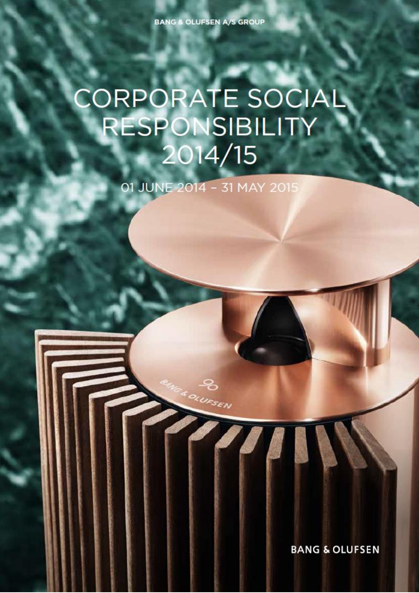# **CORPORATE SOCIAL RESPONSIBILITY** 2014/15

01 JUNE 2014 - 31 MAY 2015

BANG & OLUFSEN A/S CSR 2014/15. In the Columbia and Columbia and Columbia and Columbia and Columbia and Columbia and Columbia and Columbia and Columbia and Columbia and Columbia and Columbia and Columbia and Columbia and C

UFSEN

**BANG & OLUFSEN**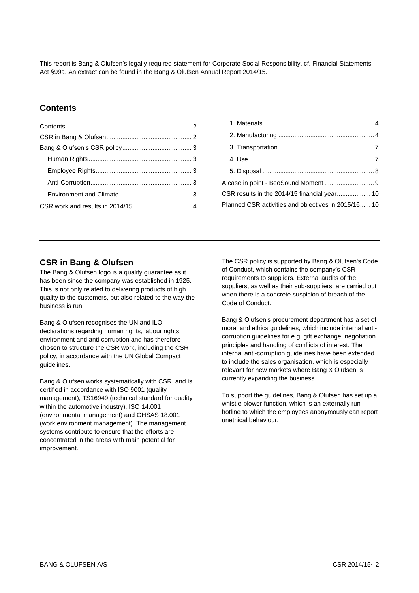This report is Bang & Olufsen's legally required statement for Corporate Social Responsibility, cf. Financial Statements Act §99a. An extract can be found in the Bang & Olufsen Annual Report 2014/15.

# <span id="page-1-0"></span>**Contents**

| A case in point - BeoSound Moment  9                |  |
|-----------------------------------------------------|--|
|                                                     |  |
| Planned CSR activities and objectives in 2015/16 10 |  |
|                                                     |  |

# <span id="page-1-1"></span>**CSR in Bang & Olufsen**

The Bang & Olufsen logo is a quality guarantee as it has been since the company was established in 1925. This is not only related to delivering products of high quality to the customers, but also related to the way the business is run.

Bang & Olufsen recognises the UN and ILO declarations regarding human rights, labour rights, environment and anti-corruption and has therefore chosen to structure the CSR work, including the CSR policy, in accordance with the UN Global Compact guidelines.

Bang & Olufsen works systematically with CSR, and is certified in accordance with ISO 9001 (quality management), TS16949 (technical standard for quality within the automotive industry), ISO 14.001 (environmental management) and OHSAS 18.001 (work environment management). The management systems contribute to ensure that the efforts are concentrated in the areas with main potential for improvement.

The CSR policy is supported by Bang & Olufsen's Code of Conduct, which contains the company's CSR requirements to suppliers. External audits of the suppliers, as well as their sub-suppliers, are carried out when there is a concrete suspicion of breach of the Code of Conduct.

Bang & Olufsen's procurement department has a set of moral and ethics guidelines, which include internal anticorruption guidelines for e.g. gift exchange, negotiation principles and handling of conflicts of interest. The internal anti-corruption guidelines have been extended to include the sales organisation, which is especially relevant for new markets where Bang & Olufsen is currently expanding the business.

To support the guidelines, Bang & Olufsen has set up a whistle-blower function, which is an externally run hotline to which the employees anonymously can report unethical behaviour.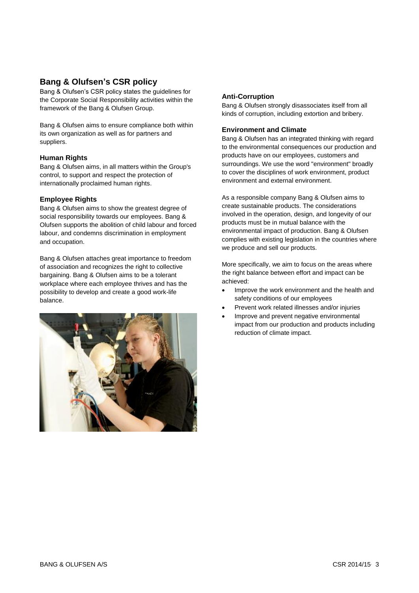# <span id="page-2-0"></span>**Bang & Olufsen's CSR policy**

Bang & Olufsen's CSR policy states the guidelines for the Corporate Social Responsibility activities within the framework of the Bang & Olufsen Group.

Bang & Olufsen aims to ensure compliance both within its own organization as well as for partners and suppliers.

#### <span id="page-2-1"></span>**Human Rights**

Bang & Olufsen aims, in all matters within the Group's control, to support and respect the protection of internationally proclaimed human rights.

#### <span id="page-2-2"></span>**Employee Rights**

Bang & Olufsen aims to show the greatest degree of social responsibility towards our employees. Bang & Olufsen supports the abolition of child labour and forced labour, and condemns discrimination in employment and occupation.

Bang & Olufsen attaches great importance to freedom of association and recognizes the right to collective bargaining. Bang & Olufsen aims to be a tolerant workplace where each employee thrives and has the possibility to develop and create a good work-life balance.



#### <span id="page-2-3"></span>**Anti-Corruption**

Bang & Olufsen strongly disassociates itself from all kinds of corruption, including extortion and bribery*.*

### <span id="page-2-4"></span>**Environment and Climate**

Bang & Olufsen has an integrated thinking with regard to the environmental consequences our production and products have on our employees, customers and surroundings. We use the word "environment" broadly to cover the disciplines of work environment, product environment and external environment.

As a responsible company Bang & Olufsen aims to create sustainable products. The considerations involved in the operation, design, and longevity of our products must be in mutual balance with the environmental impact of production. Bang & Olufsen complies with existing legislation in the countries where we produce and sell our products.

More specifically, we aim to focus on the areas where the right balance between effort and impact can be achieved:

- Improve the work environment and the health and safety conditions of our employees
- Prevent work related illnesses and/or injuries
- Improve and prevent negative environmental impact from our production and products including reduction of climate impact.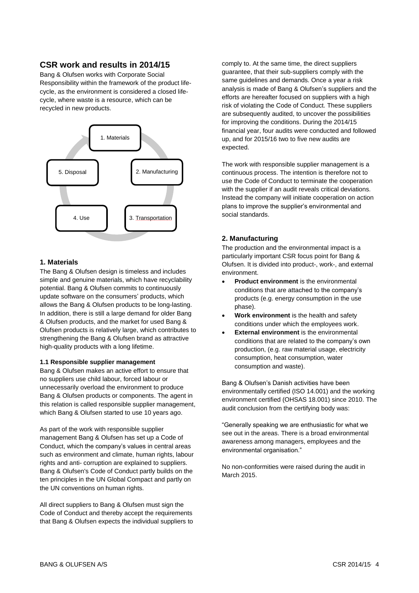# <span id="page-3-0"></span>**CSR work and results in 2014/15**

Bang & Olufsen works with Corporate Social Responsibility within the framework of the product lifecycle, as the environment is considered a closed lifecycle, where waste is a resource, which can be recycled in new products.



## <span id="page-3-1"></span>**1. Materials**

The Bang & Olufsen design is timeless and includes simple and genuine materials, which have recyclability potential. Bang & Olufsen commits to continuously update software on the consumers' products, which allows the Bang & Olufsen products to be long-lasting. In addition, there is still a large demand for older Bang & Olufsen products, and the market for used Bang & Olufsen products is relatively large, which contributes to strengthening the Bang & Olufsen brand as attractive high-quality products with a long lifetime.

#### **1.1 Responsible supplier management**

Bang & Olufsen makes an active effort to ensure that no suppliers use child labour, forced labour or unnecessarily overload the environment to produce Bang & Olufsen products or components. The agent in this relation is called responsible supplier management, which Bang & Olufsen started to use 10 years ago.

As part of the work with responsible supplier management Bang & Olufsen has set up a Code of Conduct, which the company's values in central areas such as environment and climate, human rights, labour rights and anti- corruption are explained to suppliers. Bang & Olufsen's Code of Conduct partly builds on the ten principles in the UN Global Compact and partly on the UN conventions on human rights.

All direct suppliers to Bang & Olufsen must sign the Code of Conduct and thereby accept the requirements that Bang & Olufsen expects the individual suppliers to comply to. At the same time, the direct suppliers guarantee, that their sub-suppliers comply with the same guidelines and demands. Once a year a risk analysis is made of Bang & Olufsen's suppliers and the efforts are hereafter focused on suppliers with a high risk of violating the Code of Conduct. These suppliers are subsequently audited, to uncover the possibilities for improving the conditions. During the 2014/15 financial year, four audits were conducted and followed up, and for 2015/16 two to five new audits are expected.

The work with responsible supplier management is a continuous process. The intention is therefore not to use the Code of Conduct to terminate the cooperation with the supplier if an audit reveals critical deviations. Instead the company will initiate cooperation on action plans to improve the supplier's environmental and social standards.

## <span id="page-3-2"></span>**2. Manufacturing**

The production and the environmental impact is a particularly important CSR focus point for Bang & Olufsen. It is divided into product-, work-, and external environment.

- **Product environment** is the environmental conditions that are attached to the company's products (e.g. energy consumption in the use phase).
- **Work environment** is the health and safety conditions under which the employees work.
- **External environment** is the environmental conditions that are related to the company's own production, (e.g. raw material usage, electricity consumption, heat consumption, water consumption and waste).

Bang & Olufsen's Danish activities have been environmentally certified (ISO 14.001) and the working environment certified (OHSAS 18.001) since 2010. The audit conclusion from the certifying body was:

"Generally speaking we are enthusiastic for what we see out in the areas. There is a broad environmental awareness among managers, employees and the environmental organisation."

No non-conformities were raised during the audit in March 2015.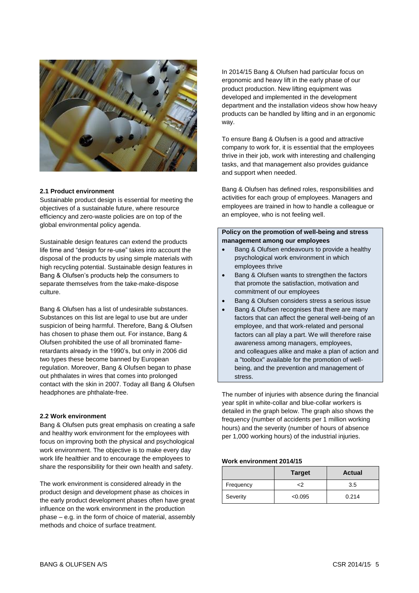

#### **2.1 Product environment**

Sustainable product design is essential for meeting the objectives of a sustainable future, where resource efficiency and zero-waste policies are on top of the global environmental policy agenda.

Sustainable design features can extend the products life time and "design for re-use" takes into account the disposal of the products by using simple materials with high recycling potential. Sustainable design features in Bang & Olufsen's products help the consumers to separate themselves from the take-make-dispose culture.

Bang & Olufsen has a list of undesirable substances. Substances on this list are legal to use but are under suspicion of being harmful. Therefore, Bang & Olufsen has chosen to phase them out. For instance, Bang & Olufsen prohibited the use of all brominated flameretardants already in the 1990's, but only in 2006 did two types these become banned by European regulation. Moreover, Bang & Olufsen began to phase out phthalates in wires that comes into prolonged contact with the skin in 2007. Today all Bang & Olufsen headphones are phthalate-free.

#### **2.2 Work environment**

Bang & Olufsen puts great emphasis on creating a safe and healthy work environment for the employees with focus on improving both the physical and psychological work environment. The objective is to make every day work life healthier and to encourage the employees to share the responsibility for their own health and safety.

The work environment is considered already in the product design and development phase as choices in the early product development phases often have great influence on the work environment in the production phase – e.g. in the form of choice of material, assembly methods and choice of surface treatment.

In 2014/15 Bang & Olufsen had particular focus on ergonomic and heavy lift in the early phase of our product production. New lifting equipment was developed and implemented in the development department and the installation videos show how heavy products can be handled by lifting and in an ergonomic way.

To ensure Bang & Olufsen is a good and attractive company to work for, it is essential that the employees thrive in their job, work with interesting and challenging tasks, and that management also provides guidance and support when needed.

Bang & Olufsen has defined roles, responsibilities and activities for each group of employees. Managers and employees are trained in how to handle a colleague or an employee, who is not feeling well.

### **Policy on the promotion of well-being and stress management among our employees**

- Bang & Olufsen endeavours to provide a healthy psychological work environment in which employees thrive
- Bang & Olufsen wants to strengthen the factors that promote the satisfaction, motivation and commitment of our employees
- Bang & Olufsen considers stress a serious issue
- Bang & Olufsen recognises that there are many factors that can affect the general well-being of an employee, and that work-related and personal factors can all play a part. We will therefore raise awareness among managers, employees, and colleagues alike and make a plan of action and a "toolbox" available for the promotion of wellbeing, and the prevention and management of stress.

The number of injuries with absence during the financial year split in white-collar and blue-collar workers is detailed in the graph below. The graph also shows the frequency (number of accidents per 1 million working hours) and the severity (number of hours of absence per 1,000 working hours) of the industrial injuries.

#### **Work environment 2014/15**

|           | <b>Target</b> | <b>Actual</b> |
|-----------|---------------|---------------|
| Frequency | ر.            | 3.5           |
| Severity  | < 0.095       | 0.214         |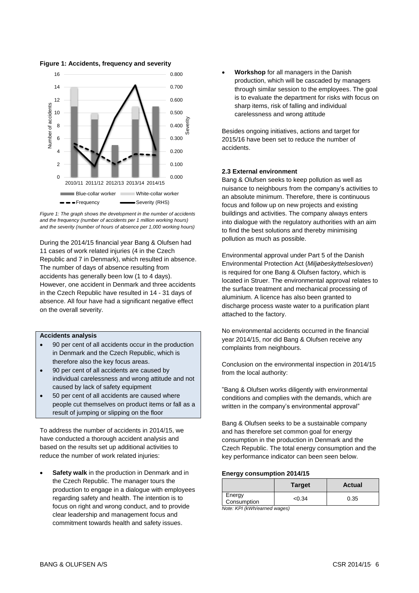**Figure 1: Accidents, frequency and severity**



*Figure 1: The graph shows the development in the number of accidents and the frequency (number of accidents per 1 million working hours) and the severity (number of hours of absence per 1,000 working hours)*

During the 2014/15 financial year Bang & Olufsen had 11 cases of work related injuries (4 in the Czech Republic and 7 in Denmark), which resulted in absence. The number of days of absence resulting from accidents has generally been low (1 to 4 days). However, one accident in Denmark and three accidents in the Czech Republic have resulted in 14 - 31 days of absence. All four have had a significant negative effect on the overall severity.

#### **Accidents analysis**

- 90 per cent of all accidents occur in the production in Denmark and the Czech Republic, which is therefore also the key focus areas.
- 90 per cent of all accidents are caused by individual carelessness and wrong attitude and not caused by lack of safety equipment
- 50 per cent of all accidents are caused where people cut themselves on product items or fall as a result of jumping or slipping on the floor

To address the number of accidents in 2014/15, we have conducted a thorough accident analysis and based on the results set up additional activities to reduce the number of work related injuries:

 **Safety walk** in the production in Denmark and in the Czech Republic. The manager tours the production to engage in a dialogue with employees regarding safety and health. The intention is to focus on right and wrong conduct, and to provide clear leadership and management focus and commitment towards health and safety issues.

 **Workshop** for all managers in the Danish production, which will be cascaded by managers through similar session to the employees. The goal is to evaluate the department for risks with focus on sharp items, risk of falling and individual carelessness and wrong attitude

Besides ongoing initiatives, actions and target for 2015/16 have been set to reduce the number of accidents.

#### **2.3 External environment**

Bang & Olufsen seeks to keep pollution as well as nuisance to neighbours from the company's activities to an absolute minimum. Therefore, there is continuous focus and follow up on new projects and existing buildings and activities. The company always enters into dialogue with the regulatory authorities with an aim to find the best solutions and thereby minimising pollution as much as possible.

Environmental approval under Part 5 of the Danish Environmental Protection Act (*Miljøbeskyttelsesloven*) is required for one Bang & Olufsen factory, which is located in Struer. The environmental approval relates to the surface treatment and mechanical processing of aluminium. A licence has also been granted to discharge process waste water to a purification plant attached to the factory.

No environmental accidents occurred in the financial year 2014/15, nor did Bang & Olufsen receive any complaints from neighbours.

Conclusion on the environmental inspection in 2014/15 from the local authority:

"Bang & Olufsen works diligently with environmental conditions and complies with the demands, which are written in the company's environmental approval"

Bang & Olufsen seeks to be a sustainable company and has therefore set common goal for energy consumption in the production in Denmark and the Czech Republic. The total energy consumption and the key performance indicator can been seen below.

#### **Energy consumption 2014/15**

|                       | <b>Target</b> | Actual |
|-----------------------|---------------|--------|
| Energy<br>Consumption | <0.34         | 0.35   |
| .                     |               |        |

*Note: KPI (kWh/earned wages)*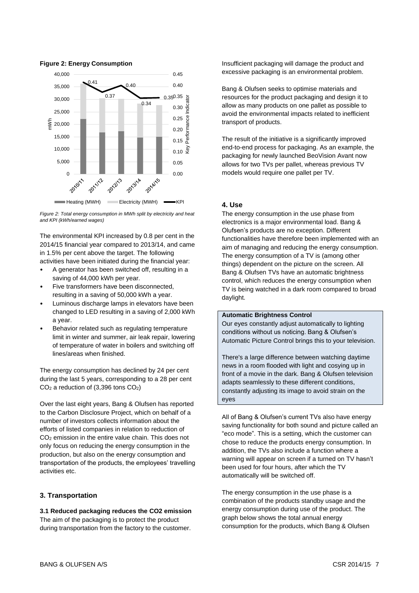

**Figure 2: Energy Consumption**

*Figure 2: Total energy consumption in MWh split by electricity and heat and KPI (kWh/earned wages)*

The environmental KPI increased by 0.8 per cent in the 2014/15 financial year compared to 2013/14, and came in 1.5% per cent above the target. The following activities have been initiated during the financial year:

- A generator has been switched off, resulting in a saving of 44,000 kWh per year.
- Five transformers have been disconnected, resulting in a saving of 50,000 kWh a year.
- Luminous discharge lamps in elevators have been changed to LED resulting in a saving of 2,000 kWh a year.
- Behavior related such as regulating temperature limit in winter and summer, air leak repair, lowering of temperature of water in boilers and switching off lines/areas when finished.

The energy consumption has declined by 24 per cent during the last 5 years, corresponding to a 28 per cent CO<sup>2</sup> a reduction of (3,396 tons CO2)

Over the last eight years, Bang & Olufsen has reported to the Carbon Disclosure Project, which on behalf of a number of investors collects information about the efforts of listed companies in relation to reduction of CO<sup>2</sup> emission in the entire value chain. This does not only focus on reducing the energy consumption in the production, but also on the energy consumption and transportation of the products, the employees' travelling activities etc.

#### <span id="page-6-0"></span>**3. Transportation**

**3.1 Reduced packaging reduces the CO2 emission** The aim of the packaging is to protect the product during transportation from the factory to the customer. Insufficient packaging will damage the product and excessive packaging is an environmental problem.

Bang & Olufsen seeks to optimise materials and resources for the product packaging and design it to allow as many products on one pallet as possible to avoid the environmental impacts related to inefficient transport of products.

The result of the initiative is a significantly improved end-to-end process for packaging. As an example, the packaging for newly launched BeoVision Avant now allows for two TVs per pallet, whereas previous TV models would require one pallet per TV.

## <span id="page-6-1"></span>**4. Use**

The energy consumption in the use phase from electronics is a major environmental load. Bang & Olufsen's products are no exception. Different functionalities have therefore been implemented with an aim of managing and reducing the energy consumption. The energy consumption of a TV is (among other things) dependent on the picture on the screen. All Bang & Olufsen TVs have an automatic brightness control, which reduces the energy consumption when TV is being watched in a dark room compared to broad daylight.

#### **Automatic Brightness Control**

Our eyes constantly adjust automatically to lighting conditions without us noticing. Bang & Olufsen's Automatic Picture Control brings this to your television.

There's a large difference between watching daytime news in a room flooded with light and cosying up in front of a movie in the dark. Bang & Olufsen television adapts seamlessly to these different conditions, constantly adjusting its image to avoid strain on the eyes

All of Bang & Olufsen's current TVs also have energy saving functionality for both sound and picture called an "eco mode". This is a setting, which the customer can chose to reduce the products energy consumption. In addition, the TVs also include a function where a warning will appear on screen if a turned on TV hasn't been used for four hours, after which the TV automatically will be switched off.

The energy consumption in the use phase is a combination of the products standby usage and the energy consumption during use of the product. The graph below shows the total annual energy consumption for the products, which Bang & Olufsen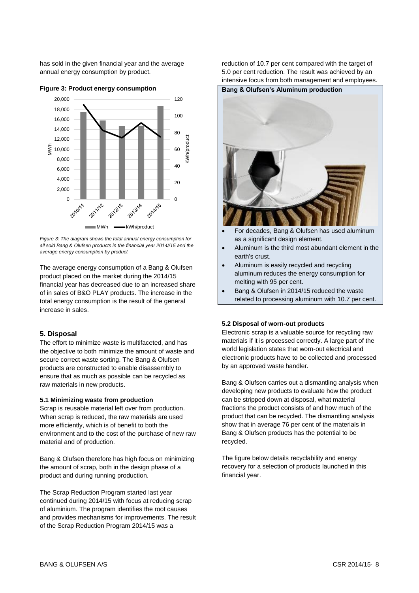has sold in the given financial year and the average annual energy consumption by product.



**Figure 3: Product energy consumption**

*Figure 3: The diagram shows the total annual energy consumption for all sold Bang & Olufsen products in the financial year 2014//15 and the average energy consumption by product*

The average energy consumption of a Bang & Olufsen product placed on the market during the 2014/15 financial year has decreased due to an increased share of in sales of B&O PLAY products. The increase in the total energy consumption is the result of the general increase in sales.

## <span id="page-7-0"></span>**5. Disposal**

The effort to minimize waste is multifaceted, and has the objective to both minimize the amount of waste and secure correct waste sorting. The Bang & Olufsen products are constructed to enable disassembly to ensure that as much as possible can be recycled as raw materials in new products.

#### **5.1 Minimizing waste from production**

Scrap is reusable material left over from production. When scrap is reduced, the raw materials are used more efficiently, which is of benefit to both the environment and to the cost of the purchase of new raw material and of production.

Bang & Olufsen therefore has high focus on minimizing the amount of scrap, both in the design phase of a product and during running production.

The Scrap Reduction Program started last year continued during 2014/15 with focus at reducing scrap of aluminium. The program identifies the root causes and provides mechanisms for improvements. The result of the Scrap Reduction Program 2014/15 was a

reduction of 10.7 per cent compared with the target of 5.0 per cent reduction. The result was achieved by an intensive focus from both management and employees.



 Aluminum is the third most abundant element in the earth's crust.

- Aluminum is easily recycled and recycling aluminum reduces the energy consumption for melting with 95 per cent.
- Bang & Olufsen in 2014/15 reduced the waste related to processing aluminum with 10.7 per cent.

#### **5.2 Disposal of worn-out products**

Electronic scrap is a valuable source for recycling raw materials if it is processed correctly. A large part of the world legislation states that worn-out electrical and electronic products have to be collected and processed by an approved waste handler.

Bang & Olufsen carries out a dismantling analysis when developing new products to evaluate how the product can be stripped down at disposal, what material fractions the product consists of and how much of the product that can be recycled. The dismantling analysis show that in average 76 per cent of the materials in Bang & Olufsen products has the potential to be recycled.

The figure below details recyclability and energy recovery for a selection of products launched in this financial year.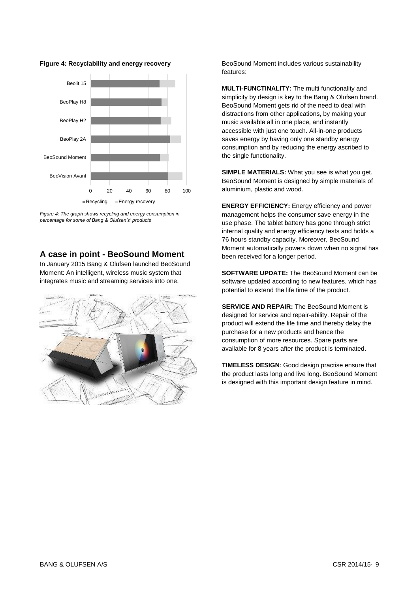

**Figure 4: Recyclability and energy recovery**

*Figure 4: The graph shows recycling and energy consumption in percentage for some of Bang & Olufsen's' products*

## <span id="page-8-0"></span>**A case in point - BeoSound Moment**

In January 2015 Bang & Olufsen launched BeoSound Moment: An intelligent, wireless music system that integrates music and streaming services into one.



BeoSound Moment includes various sustainability features:

**MULTI-FUNCTINALITY:** The multi functionality and simplicity by design is key to the Bang & Olufsen brand. BeoSound Moment gets rid of the need to deal with distractions from other applications, by making your music available all in one place, and instantly accessible with just one touch. All-in-one products saves energy by having only one standby energy consumption and by reducing the energy ascribed to the single functionality.

**SIMPLE MATERIALS:** What you see is what you get. BeoSound Moment is designed by simple materials of aluminium, plastic and wood.

**ENERGY EFFICIENCY:** Energy efficiency and power management helps the consumer save energy in the use phase. The tablet battery has gone through strict internal quality and energy efficiency tests and holds a 76 hours standby capacity. Moreover, BeoSound Moment automatically powers down when no signal has been received for a longer period.

**SOFTWARE UPDATE:** The BeoSound Moment can be software updated according to new features, which has potential to extend the life time of the product.

**SERVICE AND REPAIR:** The BeoSound Moment is designed for service and repair-ability. Repair of the product will extend the life time and thereby delay the purchase for a new products and hence the consumption of more resources. Spare parts are available for 8 years after the product is terminated.

**TIMELESS DESIGN**: Good design practise ensure that the product lasts long and live long. BeoSound Moment is designed with this important design feature in mind.